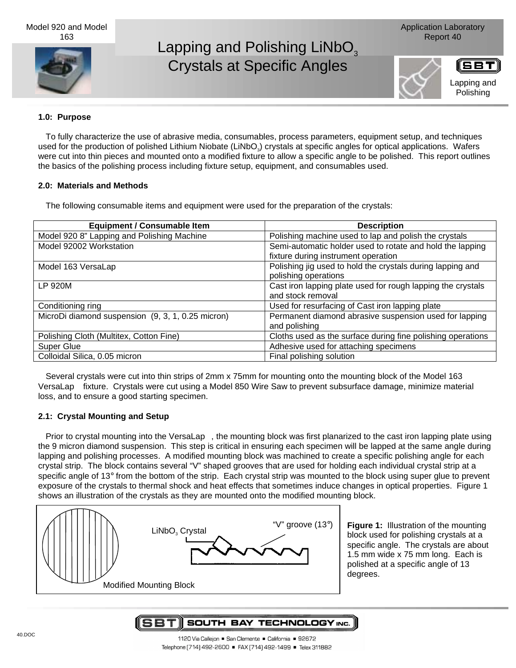

# Lapping and Polishing LiNbO<sub>3</sub> Crystals at Specific Angles





## **1.0: Purpose**

To fully characterize the use of abrasive media, consumables, process parameters, equipment setup, and techniques used for the production of polished Lithium Niobate (LiNbO<sub>3</sub>) crystals at specific angles for optical applications. Wafers were cut into thin pieces and mounted onto a modified fixture to allow a specific angle to be polished. This report outlines the basics of the polishing process including fixture setup, equipment, and consumables used.

## **2.0: Materials and Methods**

The following consumable items and equipment were used for the preparation of the crystals:

| <b>Equipment / Consumable Item</b>                | <b>Description</b>                                          |
|---------------------------------------------------|-------------------------------------------------------------|
| Model 920 8" Lapping and Polishing Machine        | Polishing machine used to lap and polish the crystals       |
| Model 92002 Workstation                           | Semi-automatic holder used to rotate and hold the lapping   |
|                                                   | fixture during instrument operation                         |
| Model 163 VersaLap™                               | Polishing jig used to hold the crystals during lapping and  |
|                                                   | polishing operations                                        |
| LP 920M                                           | Cast iron lapping plate used for rough lapping the crystals |
|                                                   | and stock removal                                           |
| Conditioning ring                                 | Used for resurfacing of Cast iron lapping plate             |
| MicroDi diamond suspension (9, 3, 1, 0.25 micron) | Permanent diamond abrasive suspension used for lapping      |
|                                                   | and polishing                                               |
| Polishing Cloth (Multitex, Cotton Fine)           | Cloths used as the surface during fine polishing operations |
| <b>Super Glue</b>                                 | Adhesive used for attaching specimens                       |
| Colloidal Silica, 0.05 micron                     | Final polishing solution                                    |

Several crystals were cut into thin strips of 2mm x 75mm for mounting onto the mounting block of the Model 163 VersaLap™ fixture. Crystals were cut using a Model 850 Wire Saw to prevent subsurface damage, minimize material loss, and to ensure a good starting specimen.

## **2.1: Crystal Mounting and Setup**

Prior to crystal mounting into the VersaLap™, the mounting block was first planarized to the cast iron lapping plate using the 9 micron diamond suspension. This step is critical in ensuring each specimen will be lapped at the same angle during lapping and polishing processes. A modified mounting block was machined to create a specific polishing angle for each crystal strip. The block contains several "V" shaped grooves that are used for holding each individual crystal strip at a specific angle of 13 $\degree$  from the bottom of the strip. Each crystal strip was mounted to the block using super glue to prevent exposure of the crystals to thermal shock and heat effects that sometimes induce changes in optical properties. Figure 1 shows an illustration of the crystals as they are mounted onto the modified mounting block.



**Figure 1:** Illustration of the mounting block used for polishing crystals at a specific angle. The crystals are about 1.5 mm wide x 75 mm long. Each is polished at a specific angle of 13 degrees.

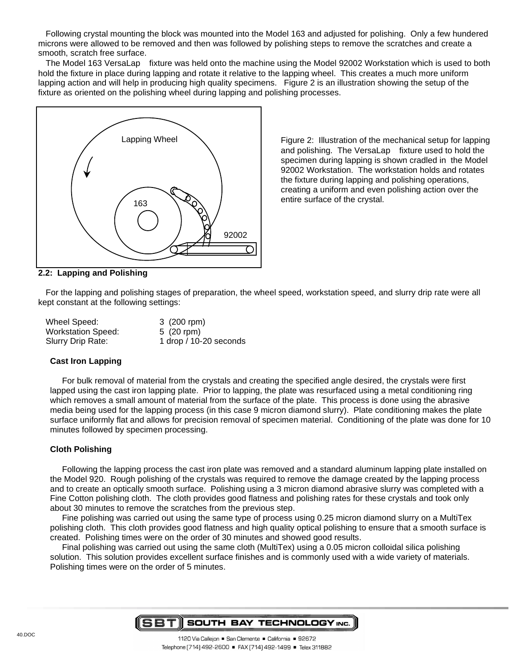Following crystal mounting the block was mounted into the Model 163 and adjusted for polishing. Only a few hundered microns were allowed to be removed and then was followed by polishing steps to remove the scratches and create a smooth, scratch free surface.

The Model 163 VersaLap™ fixture was held onto the machine using the Model 92002 Workstation which is used to both hold the fixture in place during lapping and rotate it relative to the lapping wheel. This creates a much more uniform lapping action and will help in producing high quality specimens. Figure 2 is an illustration showing the setup of the fixture as oriented on the polishing wheel during lapping and polishing processes.



Figure 2: Illustration of the mechanical setup for lapping and polishing. The VersaLap™ fixture used to hold the specimen during lapping is shown cradled in the Model 92002 Workstation. The workstation holds and rotates the fixture during lapping and polishing operations, creating a uniform and even polishing action over the entire surface of the crystal.

## **2.2: Lapping and Polishing**

For the lapping and polishing stages of preparation, the wheel speed, workstation speed, and slurry drip rate were all kept constant at the following settings:

| Wheel Speed:              | 3 (200 rpm)            |
|---------------------------|------------------------|
| <b>Workstation Speed:</b> | $5(20$ rpm)            |
| Slurry Drip Rate:         | 1 drop / 10-20 seconds |

#### **Cast Iron Lapping**

For bulk removal of material from the crystals and creating the specified angle desired, the crystals were first lapped using the cast iron lapping plate. Prior to lapping, the plate was resurfaced using a metal conditioning ring which removes a small amount of material from the surface of the plate. This process is done using the abrasive media being used for the lapping process (in this case 9 micron diamond slurry). Plate conditioning makes the plate surface uniformly flat and allows for precision removal of specimen material. Conditioning of the plate was done for 10 minutes followed by specimen processing.

#### **Cloth Polishing**

Following the lapping process the cast iron plate was removed and a standard aluminum lapping plate installed on the Model 920. Rough polishing of the crystals was required to remove the damage created by the lapping process and to create an optically smooth surface. Polishing using a 3 micron diamond abrasive slurry was completed with a Fine Cotton polishing cloth. The cloth provides good flatness and polishing rates for these crystals and took only about 30 minutes to remove the scratches from the previous step.

Fine polishing was carried out using the same type of process using 0.25 micron diamond slurry on a MultiTex polishing cloth. This cloth provides good flatness and high quality optical polishing to ensure that a smooth surface is created. Polishing times were on the order of 30 minutes and showed good results.

Final polishing was carried out using the same cloth (MultiTex) using a 0.05 micron colloidal silica polishing solution. This solution provides excellent surface finishes and is commonly used with a wide variety of materials. Polishing times were on the order of 5 minutes.